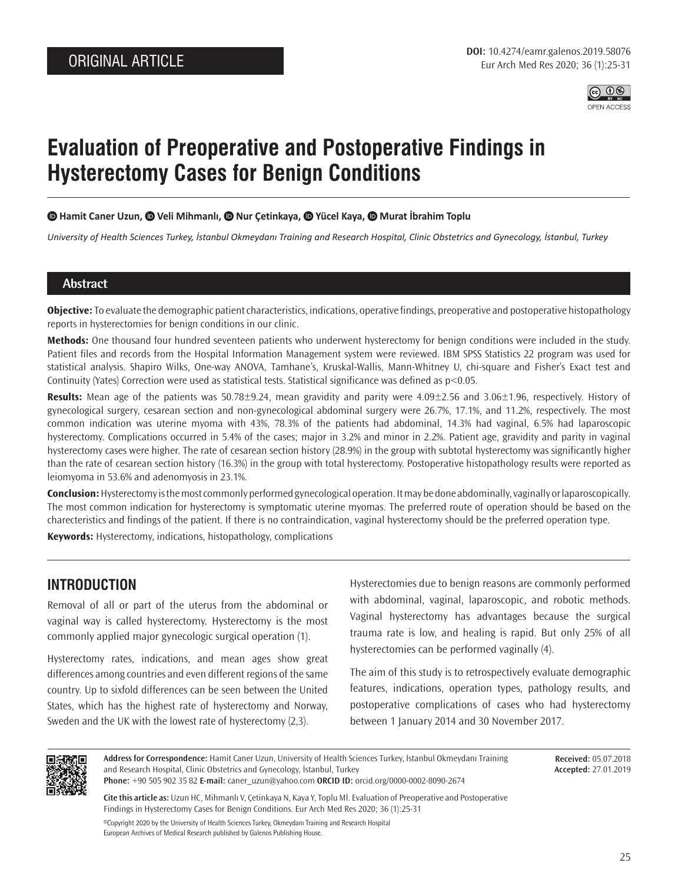

# **Evaluation of Preoperative and Postoperative Findings in Hysterectomy Cases for Benign Conditions**

#### **Hamit Caner Uzun,Veli Mihmanlı,Nur Çetinkaya,Yücel Kaya,Murat İbrahim Toplu**

*University of Health Sciences Turkey, İstanbul Okmeydanı Training and Research Hospital, Clinic Obstetrics and Gynecology, İstanbul, Turkey*

#### **Abstract**

**Objective:** To evaluate the demographic patient characteristics, indications, operative findings, preoperative and postoperative histopathology reports in hysterectomies for benign conditions in our clinic.

**Methods:** One thousand four hundred seventeen patients who underwent hysterectomy for benign conditions were included in the study. Patient files and records from the Hospital Information Management system were reviewed. IBM SPSS Statistics 22 program was used for statistical analysis. Shapiro Wilks, One-way ANOVA, Tamhane's, Kruskal-Wallis, Mann-Whitney U, chi-square and Fisher's Exact test and Continuity (Yates) Correction were used as statistical tests. Statistical significance was defined as p<0.05.

**Results:** Mean age of the patients was 50.78±9.24, mean gravidity and parity were 4.09±2.56 and 3.06±1.96, respectively. History of gynecological surgery, cesarean section and non-gynecological abdominal surgery were 26.7%, 17.1%, and 11.2%, respectively. The most common indication was uterine myoma with 43%, 78.3% of the patients had abdominal, 14.3% had vaginal, 6.5% had laparoscopic hysterectomy. Complications occurred in 5.4% of the cases; major in 3.2% and minor in 2.2%. Patient age, gravidity and parity in vaginal hysterectomy cases were higher. The rate of cesarean section history (28.9%) in the group with subtotal hysterectomy was significantly higher than the rate of cesarean section history (16.3%) in the group with total hysterectomy. Postoperative histopathology results were reported as leiomyoma in 53.6% and adenomyosis in 23.1%.

**Conclusion:** Hysterectomy is the most commonly performed gynecological operation. It may be done abdominally, vaginally or laparoscopically. The most common indication for hysterectomy is symptomatic uterine myomas. The preferred route of operation should be based on the charecteristics and findings of the patient. If there is no contraindication, vaginal hysterectomy should be the preferred operation type.

**Keywords:** Hysterectomy, indications, histopathology, complications

#### **INTRODUCTION**

Removal of all or part of the uterus from the abdominal or vaginal way is called hysterectomy. Hysterectomy is the most commonly applied major gynecologic surgical operation (1).

Hysterectomy rates, indications, and mean ages show great differences among countries and even different regions of the same country. Up to sixfold differences can be seen between the United States, which has the highest rate of hysterectomy and Norway, Sweden and the UK with the lowest rate of hysterectomy (2,3).

Hysterectomies due to benign reasons are commonly performed with abdominal, vaginal, laparoscopic, and robotic methods. Vaginal hysterectomy has advantages because the surgical trauma rate is low, and healing is rapid. But only 25% of all hysterectomies can be performed vaginally (4).

The aim of this study is to retrospectively evaluate demographic features, indications, operation types, pathology results, and postoperative complications of cases who had hysterectomy between 1 January 2014 and 30 November 2017.



**Address for Correspondence:** Hamit Caner Uzun, University of Health Sciences Turkey, İstanbul Okmeydanı Training and Research Hospital, Clinic Obstetrics and Gynecology, İstanbul, Turkey

**Received:** 05.07.2018 **Accepted:** 27.01.2019

**Phone:** +90 505 902 35 82 **E-mail:** caner\_uzun@yahoo.com **ORCID ID:** orcid.org/0000-0002-8090-2674

**Cite this article as:** Uzun HC, Mihmanlı V, Çetinkaya N, Kaya Y, Toplu Mİ. Evaluation of Preoperative and Postoperative Findings in Hysterectomy Cases for Benign Conditions. Eur Arch Med Res 2020; 36 (1):25-31 ©Copyright 2020 by the University of Health Sciences Turkey, Okmeydanı Training and Research Hospital

European Archives of Medical Research published by Galenos Publishing House.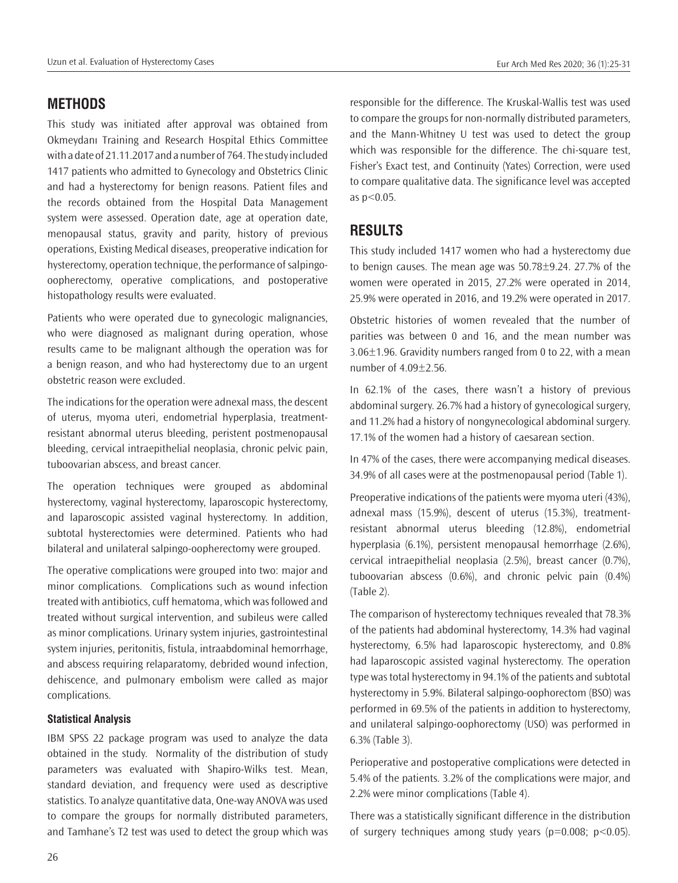## **METHODS**

This study was initiated after approval was obtained from Okmeydanı Training and Research Hospital Ethics Committee with a date of 21.11.2017 and a number of 764. The study included 1417 patients who admitted to Gynecology and Obstetrics Clinic and had a hysterectomy for benign reasons. Patient files and the records obtained from the Hospital Data Management system were assessed. Operation date, age at operation date, menopausal status, gravity and parity, history of previous operations, Existing Medical diseases, preoperative indication for hysterectomy, operation technique, the performance of salpingooopherectomy, operative complications, and postoperative histopathology results were evaluated.

Patients who were operated due to gynecologic malignancies, who were diagnosed as malignant during operation, whose results came to be malignant although the operation was for a benign reason, and who had hysterectomy due to an urgent obstetric reason were excluded.

The indications for the operation were adnexal mass, the descent of uterus, myoma uteri, endometrial hyperplasia, treatmentresistant abnormal uterus bleeding, peristent postmenopausal bleeding, cervical intraepithelial neoplasia, chronic pelvic pain, tuboovarian abscess, and breast cancer.

The operation techniques were grouped as abdominal hysterectomy, vaginal hysterectomy, laparoscopic hysterectomy, and laparoscopic assisted vaginal hysterectomy. In addition, subtotal hysterectomies were determined. Patients who had bilateral and unilateral salpingo-oopherectomy were grouped.

The operative complications were grouped into two: major and minor complications. Complications such as wound infection treated with antibiotics, cuff hematoma, which was followed and treated without surgical intervention, and subileus were called as minor complications. Urinary system injuries, gastrointestinal system injuries, peritonitis, fistula, intraabdominal hemorrhage, and abscess requiring relaparatomy, debrided wound infection, dehiscence, and pulmonary embolism were called as major complications.

#### **Statistical Analysis**

IBM SPSS 22 package program was used to analyze the data obtained in the study. Normality of the distribution of study parameters was evaluated with Shapiro-Wilks test. Mean, standard deviation, and frequency were used as descriptive statistics. To analyze quantitative data, One-way ANOVA was used to compare the groups for normally distributed parameters, and Tamhane's T2 test was used to detect the group which was

responsible for the difference. The Kruskal-Wallis test was used to compare the groups for non-normally distributed parameters, and the Mann-Whitney U test was used to detect the group which was responsible for the difference. The chi-square test, Fisher's Exact test, and Continuity (Yates) Correction, were used to compare qualitative data. The significance level was accepted as p<0.05.

## **RESULTS**

This study included 1417 women who had a hysterectomy due to benign causes. The mean age was 50.78±9.24. 27.7% of the women were operated in 2015, 27.2% were operated in 2014, 25.9% were operated in 2016, and 19.2% were operated in 2017.

Obstetric histories of women revealed that the number of parities was between 0 and 16, and the mean number was 3.06±1.96. Gravidity numbers ranged from 0 to 22, with a mean number of 4.09±2.56.

In 62.1% of the cases, there wasn't a history of previous abdominal surgery. 26.7% had a history of gynecological surgery, and 11.2% had a history of nongynecological abdominal surgery. 17.1% of the women had a history of caesarean section.

In 47% of the cases, there were accompanying medical diseases. 34.9% of all cases were at the postmenopausal period (Table 1).

Preoperative indications of the patients were myoma uteri (43%), adnexal mass (15.9%), descent of uterus (15.3%), treatmentresistant abnormal uterus bleeding (12.8%), endometrial hyperplasia (6.1%), persistent menopausal hemorrhage (2.6%), cervical intraepithelial neoplasia (2.5%), breast cancer (0.7%), tuboovarian abscess (0.6%), and chronic pelvic pain (0.4%) (Table 2).

The comparison of hysterectomy techniques revealed that 78.3% of the patients had abdominal hysterectomy, 14.3% had vaginal hysterectomy, 6.5% had laparoscopic hysterectomy, and 0.8% had laparoscopic assisted vaginal hysterectomy. The operation type was total hysterectomy in 94.1% of the patients and subtotal hysterectomy in 5.9%. Bilateral salpingo-oophorectom (BSO) was performed in 69.5% of the patients in addition to hysterectomy, and unilateral salpingo-oophorectomy (USO) was performed in 6.3% (Table 3).

Perioperative and postoperative complications were detected in 5.4% of the patients. 3.2% of the complications were major, and 2.2% were minor complications (Table 4).

There was a statistically significant difference in the distribution of surgery techniques among study years ( $p=0.008$ ;  $p<0.05$ ).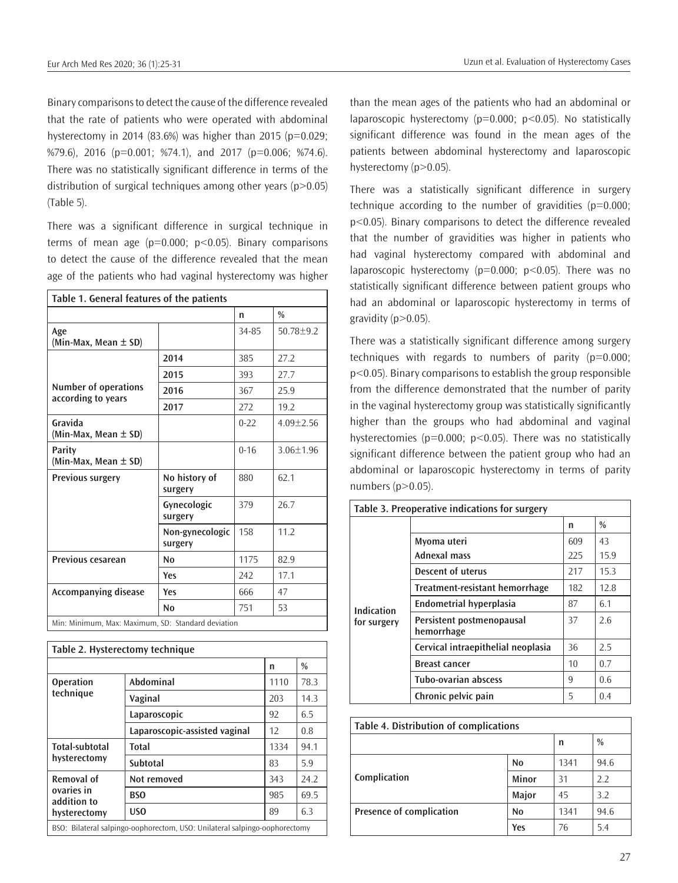Binary comparisons to detect the cause of the difference revealed that the rate of patients who were operated with abdominal hysterectomy in 2014 (83.6%) was higher than 2015 ( $p=0.029$ ; %79.6), 2016 (p=0.001; %74.1), and 2017 (p=0.006; %74.6). There was no statistically significant difference in terms of the distribution of surgical techniques among other years  $(p>0.05)$ (Table 5).

There was a significant difference in surgical technique in terms of mean age  $(p=0.000; p<0.05)$ . Binary comparisons to detect the cause of the difference revealed that the mean age of the patients who had vaginal hysterectomy was higher

| Table 1. General features of the patients          |                            |          |                 |  |  |
|----------------------------------------------------|----------------------------|----------|-----------------|--|--|
|                                                    |                            | n        | $\frac{0}{0}$   |  |  |
| Age<br>(Min-Max, Mean ± SD)                        |                            | 34-85    | $50.78 + 9.2$   |  |  |
|                                                    | 2014                       | 385      | 27.2            |  |  |
|                                                    | 2015                       | 393      | 27.7            |  |  |
| Number of operations<br>according to years         | 2016                       | 367      | 25.9            |  |  |
|                                                    | 2017                       | 272      | 19.2            |  |  |
| Gravida<br>(Min-Max, Mean ± SD)                    |                            | $0-22$   | $4.09 \pm 2.56$ |  |  |
| Parity<br>(Min-Max, Mean $\pm$ SD)                 |                            | $0 - 16$ | $3.06 + 1.96$   |  |  |
| <b>Previous surgery</b>                            | No history of<br>surgery   | 880      | 62.1            |  |  |
|                                                    | Gynecologic<br>surgery     | 379      | 26.7            |  |  |
|                                                    | Non-gynecologic<br>surgery | 158      | 11.2            |  |  |
| Previous cesarean                                  | N <sub>0</sub>             | 1175     | 82.9            |  |  |
|                                                    | Yes                        | 242      | 17.1            |  |  |
| <b>Accompanying disease</b>                        | Yes                        | 666      | 47              |  |  |
|                                                    | N <sub>0</sub>             | 751      | 53              |  |  |
| Min: Minimum, Max: Maximum, SD: Standard deviation |                            |          |                 |  |  |

**Table 2. Hysterectomy technique n % Operation technique Abdominal** 1110 78.3 **Vaginal** 203 14.3 **Laparoscopic** 92 6.5 **Laparoscopic-assisted vaginal** | 12 | 0.8 **Total-subtotal hysterectomy Total** 1334 94.1 **Subtotal** 83 5.9 **Removal of ovaries in addition to hysterectomy Not removed**  $\vert$  343 24.2 **BSO** 985 69.5 **USO**  $\begin{array}{|c|c|c|c|c|} \hline 89 & 6.3 \\ \hline \end{array}$ BSO: Bilateral salpingo-oophorectom, USO: Unilateral salpingo-oophorectomy

than the mean ages of the patients who had an abdominal or laparoscopic hysterectomy ( $p=0.000$ ;  $p<0.05$ ). No statistically significant difference was found in the mean ages of the patients between abdominal hysterectomy and laparoscopic hysterectomy (p>0.05).

There was a statistically significant difference in surgery technique according to the number of gravidities  $(p=0.000;$ p<0.05). Binary comparisons to detect the difference revealed that the number of gravidities was higher in patients who had vaginal hysterectomy compared with abdominal and laparoscopic hysterectomy ( $p=0.000$ ;  $p<0.05$ ). There was no statistically significant difference between patient groups who had an abdominal or laparoscopic hysterectomy in terms of gravidity ( $p > 0.05$ ).

There was a statistically significant difference among surgery techniques with regards to numbers of parity  $(p=0.000;$ p<0.05). Binary comparisons to establish the group responsible from the difference demonstrated that the number of parity in the vaginal hysterectomy group was statistically significantly higher than the groups who had abdominal and vaginal hysterectomies ( $p=0.000$ ;  $p<0.05$ ). There was no statistically significant difference between the patient group who had an abdominal or laparoscopic hysterectomy in terms of parity numbers (p>0.05).

| Table 3. Preoperative indications for surgery |                                         |     |               |  |
|-----------------------------------------------|-----------------------------------------|-----|---------------|--|
|                                               |                                         | n   | $\frac{0}{0}$ |  |
|                                               | Myoma uteri                             | 609 | 43            |  |
|                                               | Adnexal mass                            | 225 | 15.9          |  |
|                                               | Descent of uterus                       | 217 | 15.3          |  |
| Indication<br>for surgery                     | Treatment-resistant hemorrhage          | 182 | 12.8          |  |
|                                               | <b>Endometrial hyperplasia</b>          | 87  | 6.1           |  |
|                                               | Persistent postmenopausal<br>hemorrhage | 37  | 2.6           |  |
|                                               | Cervical intraepithelial neoplasia      | 36  | 2.5           |  |
|                                               | <b>Breast cancer</b>                    | 10  | 0.7           |  |
|                                               | <b>Tubo-ovarian abscess</b>             | 9   | 0.6           |  |
|                                               | Chronic pelvic pain                     | 5   | 0.4           |  |

| Table 4. Distribution of complications |                |      |      |  |
|----------------------------------------|----------------|------|------|--|
|                                        |                | n    | $\%$ |  |
|                                        | N <sub>0</sub> | 1341 | 94.6 |  |
| Complication                           | Minor          | 31   | 2.2  |  |
|                                        | Major          | 45   | 3.2  |  |
| <b>Presence of complication</b>        | N <sub>0</sub> | 1341 | 94.6 |  |
|                                        | Yes            | 76   | 5.4  |  |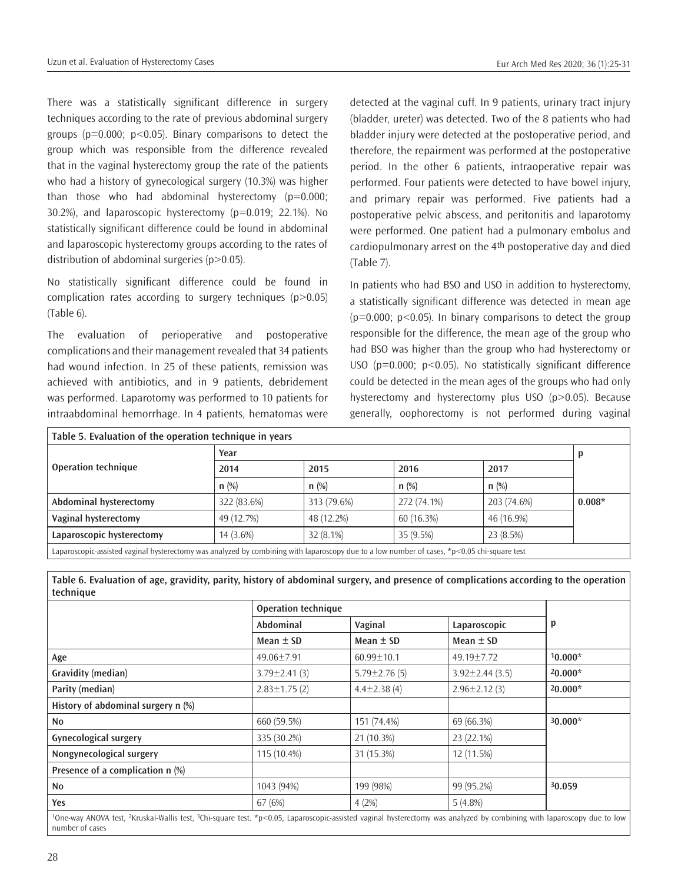There was a statistically significant difference in surgery techniques according to the rate of previous abdominal surgery groups ( $p=0.000$ ;  $p<0.05$ ). Binary comparisons to detect the group which was responsible from the difference revealed that in the vaginal hysterectomy group the rate of the patients who had a history of gynecological surgery (10.3%) was higher than those who had abdominal hysterectomy (p=0.000; 30.2%), and laparoscopic hysterectomy (p=0.019; 22.1%). No statistically significant difference could be found in abdominal and laparoscopic hysterectomy groups according to the rates of distribution of abdominal surgeries  $(p>0.05)$ .

No statistically significant difference could be found in complication rates according to surgery techniques (p>0.05) (Table 6).

The evaluation of perioperative and postoperative complications and their management revealed that 34 patients had wound infection. In 25 of these patients, remission was achieved with antibiotics, and in 9 patients, debridement was performed. Laparotomy was performed to 10 patients for intraabdominal hemorrhage. In 4 patients, hematomas were

detected at the vaginal cuff. In 9 patients, urinary tract injury (bladder, ureter) was detected. Two of the 8 patients who had bladder injury were detected at the postoperative period, and therefore, the repairment was performed at the postoperative period. In the other 6 patients, intraoperative repair was performed. Four patients were detected to have bowel injury, and primary repair was performed. Five patients had a postoperative pelvic abscess, and peritonitis and laparotomy were performed. One patient had a pulmonary embolus and cardiopulmonary arrest on the 4th postoperative day and died (Table 7).

In patients who had BSO and USO in addition to hysterectomy, a statistically significant difference was detected in mean age  $(p=0.000; p<0.05)$ . In binary comparisons to detect the group responsible for the difference, the mean age of the group who had BSO was higher than the group who had hysterectomy or USO ( $p=0.000$ ;  $p<0.05$ ). No statistically significant difference could be detected in the mean ages of the groups who had only hysterectomy and hysterectomy plus USO (p>0.05). Because generally, oophorectomy is not performed during vaginal

| Table 5. Evaluation of the operation technique in years                                                                                     |             |             |             |             |          |
|---------------------------------------------------------------------------------------------------------------------------------------------|-------------|-------------|-------------|-------------|----------|
|                                                                                                                                             | Year        |             |             |             |          |
| <b>Operation technique</b>                                                                                                                  | 2014        | 2015        | 2016        | 2017        |          |
|                                                                                                                                             | n(%)        | $n$ (%)     | $n$ (%)     | n(%)        |          |
| Abdominal hysterectomy                                                                                                                      | 322 (83.6%) | 313 (79.6%) | 272 (74.1%) | 203 (74.6%) | $0.008*$ |
| Vaginal hysterectomy                                                                                                                        | 49 (12.7%)  | 48 (12.2%)  | 60 (16.3%)  | 46 (16.9%)  |          |
| Laparoscopic hysterectomy                                                                                                                   | $14(3.6\%)$ | $32(8.1\%)$ | 35 (9.5%)   | 23 (8.5%)   |          |
| Laparoscopic-assisted vaginal hysterectomy was analyzed by combining with laparoscopy due to a low number of cases, *p<0.05 chi-square test |             |             |             |             |          |

**Table 6. Evaluation of age, gravidity, parity, history of abdominal surgery, and presence of complications according to the operation technique**

|                     | <b>Operation technique</b> |                       |           |
|---------------------|----------------------------|-----------------------|-----------|
| Abdominal           | Vaginal                    | Laparoscopic          | p         |
| Mean $\pm$ SD       | Mean $\pm$ SD              | Mean $\pm$ SD         |           |
| 49.06±7.91          | $60.99 \pm 10.1$           | 49.19±7.72            | $10.000*$ |
| $3.79 \pm 2.41$ (3) | $5.79 \pm 2.76$ (5)        | $3.92 \pm 2.44$ (3.5) | $20.000*$ |
| $2.83 \pm 1.75$ (2) | $4.4 \pm 2.38$ (4)         | $2.96 \pm 2.12$ (3)   | $20.000*$ |
|                     |                            |                       |           |
| 660 (59.5%)         | 151 (74.4%)                | 69 (66.3%)            | $30.000*$ |
| 335 (30.2%)         | 21 (10.3%)                 | 23 (22.1%)            |           |
| 115 (10.4%)         | 31 (15.3%)                 | 12 (11.5%)            |           |
|                     |                            |                       |           |
| 1043 (94%)          | 199 (98%)                  | 99 (95.2%)            | 30.059    |
| 67 (6%)             | 4(2%)                      | $5(4.8\%)$            |           |
|                     |                            |                       |           |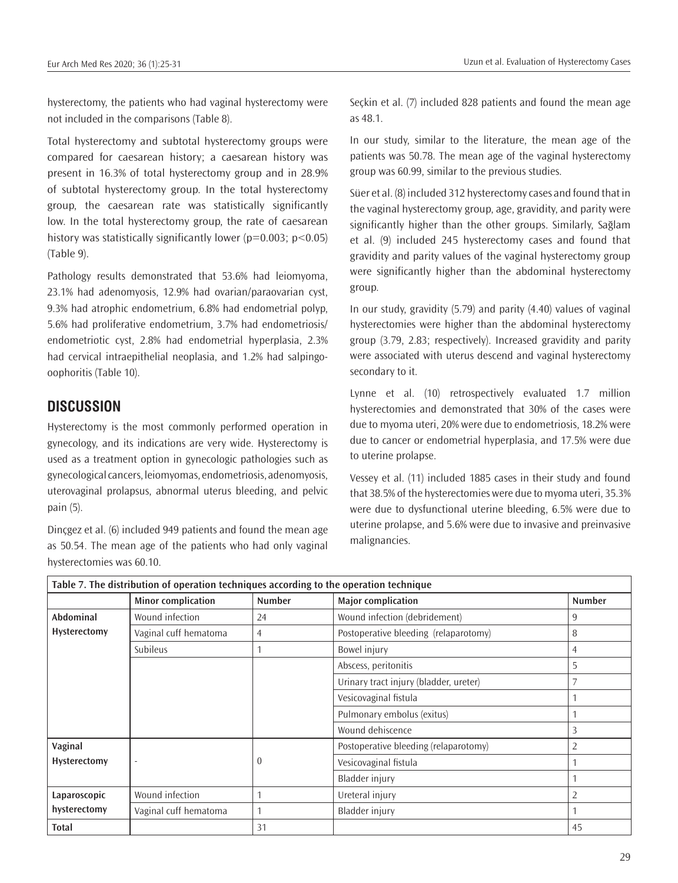hysterectomy, the patients who had vaginal hysterectomy were not included in the comparisons (Table 8).

Total hysterectomy and subtotal hysterectomy groups were compared for caesarean history; a caesarean history was present in 16.3% of total hysterectomy group and in 28.9% of subtotal hysterectomy group. In the total hysterectomy group, the caesarean rate was statistically significantly low. In the total hysterectomy group, the rate of caesarean history was statistically significantly lower ( $p=0.003$ ;  $p<0.05$ ) (Table 9).

Pathology results demonstrated that 53.6% had leiomyoma, 23.1% had adenomyosis, 12.9% had ovarian/paraovarian cyst, 9.3% had atrophic endometrium, 6.8% had endometrial polyp, 5.6% had proliferative endometrium, 3.7% had endometriosis/ endometriotic cyst, 2.8% had endometrial hyperplasia, 2.3% had cervical intraepithelial neoplasia, and 1.2% had salpingooophoritis (Table 10).

## **DISCUSSION**

Hysterectomy is the most commonly performed operation in gynecology, and its indications are very wide. Hysterectomy is used as a treatment option in gynecologic pathologies such as gynecological cancers, leiomyomas, endometriosis, adenomyosis, uterovaginal prolapsus, abnormal uterus bleeding, and pelvic pain (5).

Dinçgez et al. (6) included 949 patients and found the mean age as 50.54. The mean age of the patients who had only vaginal hysterectomies was 60.10.

Seçkin et al. (7) included 828 patients and found the mean age as 48.1.

In our study, similar to the literature, the mean age of the patients was 50.78. The mean age of the vaginal hysterectomy group was 60.99, similar to the previous studies.

Süer et al. (8) included 312 hysterectomy cases and found that in the vaginal hysterectomy group, age, gravidity, and parity were significantly higher than the other groups. Similarly, Sağlam et al. (9) included 245 hysterectomy cases and found that gravidity and parity values of the vaginal hysterectomy group were significantly higher than the abdominal hysterectomy group.

In our study, gravidity (5.79) and parity (4.40) values of vaginal hysterectomies were higher than the abdominal hysterectomy group (3.79, 2.83; respectively). Increased gravidity and parity were associated with uterus descend and vaginal hysterectomy secondary to it.

Lynne et al. (10) retrospectively evaluated 1.7 million hysterectomies and demonstrated that 30% of the cases were due to myoma uteri, 20% were due to endometriosis, 18.2% were due to cancer or endometrial hyperplasia, and 17.5% were due to uterine prolapse.

Vessey et al. (11) included 1885 cases in their study and found that 38.5% of the hysterectomies were due to myoma uteri, 35.3% were due to dysfunctional uterine bleeding, 6.5% were due to uterine prolapse, and 5.6% were due to invasive and preinvasive malignancies.

| Table 7. The distribution of operation techniques according to the operation technique |                           |                |                                        |                |  |  |
|----------------------------------------------------------------------------------------|---------------------------|----------------|----------------------------------------|----------------|--|--|
|                                                                                        | <b>Minor complication</b> | <b>Number</b>  | <b>Major complication</b>              | <b>Number</b>  |  |  |
| Abdominal                                                                              | Wound infection           | 24             | Wound infection (debridement)          | 9              |  |  |
| Hysterectomy                                                                           | Vaginal cuff hematoma     | 4              | Postoperative bleeding (relaparotomy)  | 8              |  |  |
|                                                                                        | <b>Subileus</b>           | $\overline{ }$ | Bowel injury                           | 4              |  |  |
|                                                                                        |                           |                | Abscess, peritonitis                   | 5              |  |  |
|                                                                                        |                           |                | Urinary tract injury (bladder, ureter) |                |  |  |
|                                                                                        |                           |                | Vesicovaginal fistula                  |                |  |  |
|                                                                                        |                           |                | Pulmonary embolus (exitus)             |                |  |  |
|                                                                                        |                           |                | Wound dehiscence                       | 3              |  |  |
| Vaginal                                                                                |                           |                | Postoperative bleeding (relaparotomy)  | $\overline{2}$ |  |  |
| Hysterectomy                                                                           | ٠                         | $\theta$       | Vesicovaginal fistula                  |                |  |  |
|                                                                                        |                           |                | Bladder injury                         |                |  |  |
| Laparoscopic                                                                           | Wound infection           |                | Ureteral injury                        | $\overline{2}$ |  |  |
| hysterectomy                                                                           | Vaginal cuff hematoma     |                | Bladder injury                         |                |  |  |
| <b>Total</b>                                                                           |                           | 31             |                                        | 45             |  |  |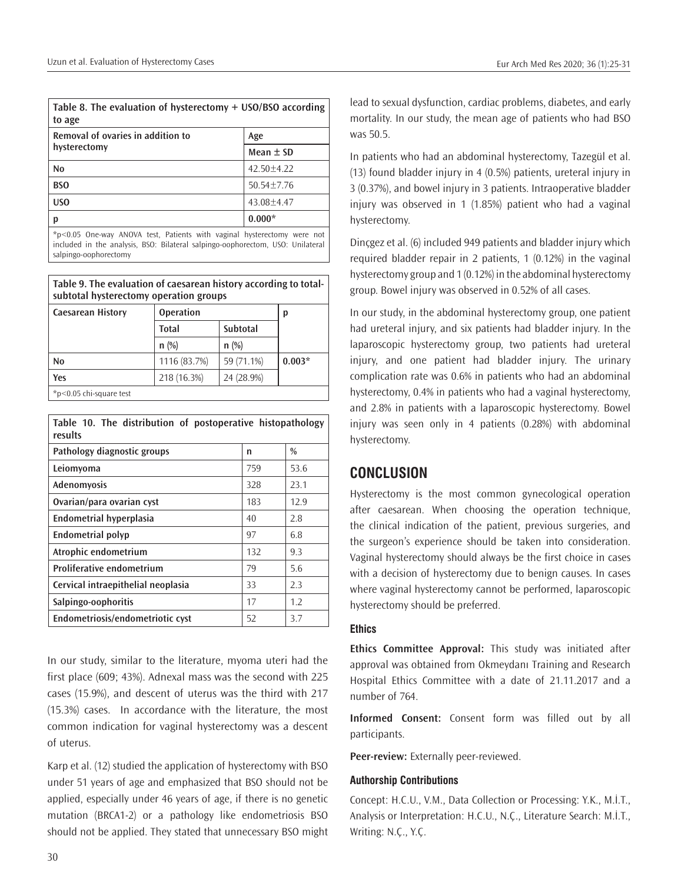| Table 8. The evaluation of hysterectomy $+$ USO/BSO according<br>to age |                |  |  |
|-------------------------------------------------------------------------|----------------|--|--|
| Removal of ovaries in addition to                                       | Age            |  |  |
| hysterectomy                                                            | Mean $\pm$ SD  |  |  |
| N <sub>0</sub>                                                          | $42.50 + 4.22$ |  |  |
| <b>BSO</b>                                                              | $50.54 + 7.76$ |  |  |
| US <sub>0</sub>                                                         | $43.08 + 4.47$ |  |  |
|                                                                         | $0.000*$       |  |  |

\*p<0.05 One-way ANOVA test, Patients with vaginal hysterectomy were not included in the analysis, BSO: Bilateral salpingo-oophorectom, USO: Unilateral salpingo-oophorectomy

**Table 9. The evaluation of caesarean history according to totalsubtotal hysterectomy operation groups**

| <b>Caesarean History</b>     | <b>Operation</b> |            | р        |
|------------------------------|------------------|------------|----------|
|                              | <b>Total</b>     | Subtotal   |          |
|                              | $n$ (%)          | $n$ (%)    |          |
| No                           | 1116 (83.7%)     | 59 (71.1%) | $0.003*$ |
| Yes                          | 218 (16.3%)      | 24 (28.9%) |          |
| $*$ p < 0.05 chi-square test |                  |            |          |

**Table 10. The distribution of postoperative histopathology results**

| Pathology diagnostic groups        | n   | $\frac{0}{0}$ |
|------------------------------------|-----|---------------|
| Leiomyoma                          | 759 | 53.6          |
| Adenomyosis                        | 328 | 23.1          |
| Ovarian/para ovarian cyst          | 183 | 12.9          |
| Endometrial hyperplasia            | 40  | 2.8           |
| <b>Endometrial polyp</b>           | 97  | 6.8           |
| Atrophic endometrium               | 132 | 9.3           |
| <b>Proliferative endometrium</b>   | 79  | 5.6           |
| Cervical intraepithelial neoplasia | 33  | 2.3           |
| Salpingo-oophoritis                | 17  | 1.2           |
| Endometriosis/endometriotic cyst   | 52  | 3.7           |

In our study, similar to the literature, myoma uteri had the first place (609; 43%). Adnexal mass was the second with 225 cases (15.9%), and descent of uterus was the third with 217 (15.3%) cases. In accordance with the literature, the most common indication for vaginal hysterectomy was a descent of uterus.

Karp et al. (12) studied the application of hysterectomy with BSO under 51 years of age and emphasized that BSO should not be applied, especially under 46 years of age, if there is no genetic mutation (BRCA1-2) or a pathology like endometriosis BSO should not be applied. They stated that unnecessary BSO might

lead to sexual dysfunction, cardiac problems, diabetes, and early mortality. In our study, the mean age of patients who had BSO was 50.5.

In patients who had an abdominal hysterectomy, Tazegül et al. (13) found bladder injury in 4 (0.5%) patients, ureteral injury in 3 (0.37%), and bowel injury in 3 patients. Intraoperative bladder injury was observed in 1 (1.85%) patient who had a vaginal hysterectomy.

Dinçgez et al. (6) included 949 patients and bladder injury which required bladder repair in 2 patients, 1 (0.12%) in the vaginal hysterectomy group and 1 (0.12%) in the abdominal hysterectomy group. Bowel injury was observed in 0.52% of all cases.

In our study, in the abdominal hysterectomy group, one patient had ureteral injury, and six patients had bladder injury. In the laparoscopic hysterectomy group, two patients had ureteral injury, and one patient had bladder injury. The urinary complication rate was 0.6% in patients who had an abdominal hysterectomy, 0.4% in patients who had a vaginal hysterectomy, and 2.8% in patients with a laparoscopic hysterectomy. Bowel injury was seen only in 4 patients (0.28%) with abdominal hysterectomy.

# **CONCLUSION**

Hysterectomy is the most common gynecological operation after caesarean. When choosing the operation technique, the clinical indication of the patient, previous surgeries, and the surgeon's experience should be taken into consideration. Vaginal hysterectomy should always be the first choice in cases with a decision of hysterectomy due to benign causes. In cases where vaginal hysterectomy cannot be performed, laparoscopic hysterectomy should be preferred.

#### **Ethics**

**Ethics Committee Approval:** This study was initiated after approval was obtained from Okmeydanı Training and Research Hospital Ethics Committee with a date of 21.11.2017 and a number of 764.

**Informed Consent:** Consent form was filled out by all participants.

**Peer-review:** Externally peer-reviewed.

#### **Authorship Contributions**

Concept: H.C.U., V.M., Data Collection or Processing: Y.K., M.İ.T., Analysis or Interpretation: H.C.U., N.Ç., Literature Search: M.İ.T., Writing: N.Ç., Y.Ç.